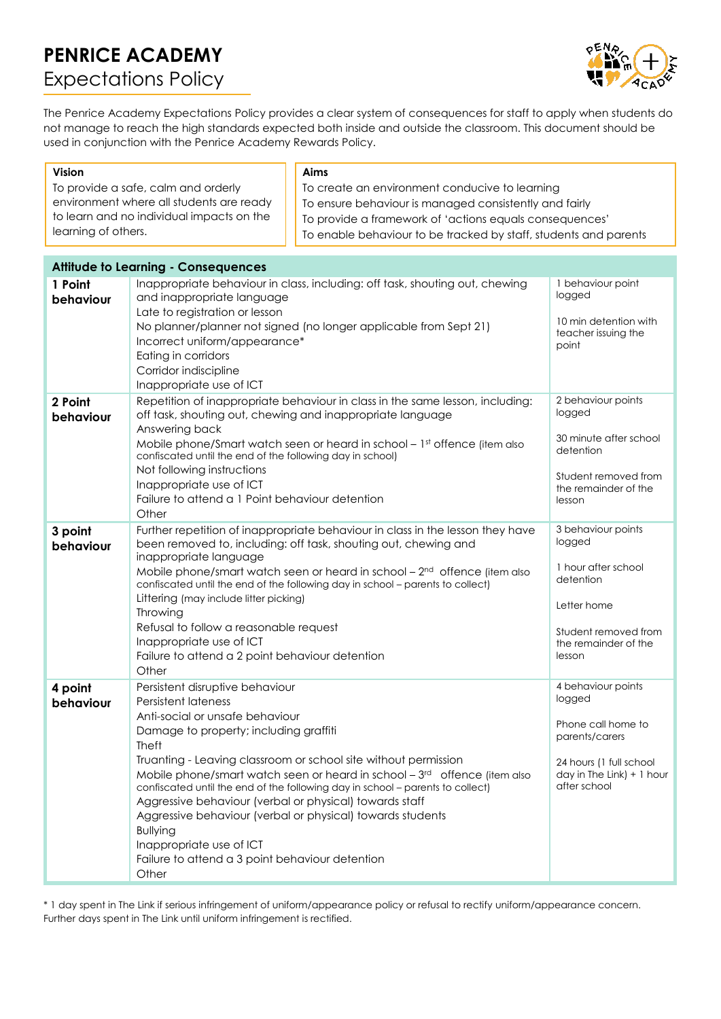# **PENRICE ACADEMY** Expectations Policy



The Penrice Academy Expectations Policy provides a clear system of consequences for staff to apply when students do not manage to reach the high standards expected both inside and outside the classroom. This document should be used in conjunction with the Penrice Academy Rewards Policy.

| <b>Vision</b>                              |                                                                                                                                                             | Aims                                                                           |                                              |
|--------------------------------------------|-------------------------------------------------------------------------------------------------------------------------------------------------------------|--------------------------------------------------------------------------------|----------------------------------------------|
| To provide a safe, calm and orderly        |                                                                                                                                                             | To create an environment conducive to learning                                 |                                              |
| environment where all students are ready   |                                                                                                                                                             | To ensure behaviour is managed consistently and fairly                         |                                              |
| to learn and no individual impacts on the  |                                                                                                                                                             | To provide a framework of 'actions equals consequences'                        |                                              |
| learning of others.                        |                                                                                                                                                             | To enable behaviour to be tracked by staff, students and parents               |                                              |
|                                            |                                                                                                                                                             |                                                                                |                                              |
| <b>Attitude to Learning - Consequences</b> |                                                                                                                                                             |                                                                                |                                              |
| 1 Point                                    |                                                                                                                                                             | Inappropriate behaviour in class, including: off task, shouting out, chewing   | 1 behaviour point                            |
| behaviour                                  | and inappropriate language                                                                                                                                  |                                                                                | logged                                       |
|                                            | Late to registration or lesson                                                                                                                              |                                                                                | 10 min detention with                        |
|                                            | No planner/planner not signed (no longer applicable from Sept 21)                                                                                           |                                                                                | teacher issuing the                          |
|                                            | Incorrect uniform/appearance*                                                                                                                               |                                                                                | point                                        |
|                                            | Eating in corridors<br>Corridor indiscipline                                                                                                                |                                                                                |                                              |
|                                            | Inappropriate use of ICT                                                                                                                                    |                                                                                |                                              |
| 2 Point                                    | 2 behaviour points<br>Repetition of inappropriate behaviour in class in the same lesson, including:                                                         |                                                                                |                                              |
| behaviour                                  | off task, shouting out, chewing and inappropriate language                                                                                                  | logged                                                                         |                                              |
|                                            | Answering back                                                                                                                                              |                                                                                |                                              |
|                                            | Mobile phone/Smart watch seen or heard in school $-1st$ offence (item also                                                                                  | 30 minute after school<br>detention                                            |                                              |
|                                            | confiscated until the end of the following day in school)                                                                                                   |                                                                                |                                              |
|                                            | Not following instructions                                                                                                                                  |                                                                                | Student removed from                         |
|                                            | Inappropriate use of ICT<br>Failure to attend a 1 Point behaviour detention                                                                                 |                                                                                | the remainder of the                         |
|                                            | Other                                                                                                                                                       |                                                                                | lesson                                       |
| 3 point                                    |                                                                                                                                                             |                                                                                | 3 behaviour points                           |
| behaviour                                  | Further repetition of inappropriate behaviour in class in the lesson they have<br>logged<br>been removed to, including: off task, shouting out, chewing and |                                                                                |                                              |
|                                            | inappropriate language                                                                                                                                      |                                                                                |                                              |
|                                            | 1 hour after school<br>Mobile phone/smart watch seen or heard in school - 2 <sup>nd</sup> offence (item also<br>detention                                   |                                                                                |                                              |
|                                            | confiscated until the end of the following day in school - parents to collect)                                                                              |                                                                                |                                              |
|                                            | Littering (may include litter picking)<br>Throwing                                                                                                          |                                                                                | Letter home                                  |
|                                            | Refusal to follow a reasonable request                                                                                                                      |                                                                                |                                              |
|                                            | Inappropriate use of ICT                                                                                                                                    |                                                                                | Student removed from<br>the remainder of the |
|                                            | Failure to attend a 2 point behaviour detention                                                                                                             |                                                                                | lesson                                       |
|                                            | Other                                                                                                                                                       |                                                                                |                                              |
| 4 point                                    | Persistent disruptive behaviour                                                                                                                             |                                                                                | 4 behaviour points                           |
| behaviour                                  | <b>Persistent lateness</b>                                                                                                                                  |                                                                                | logged                                       |
|                                            | Anti-social or unsafe behaviour                                                                                                                             |                                                                                | Phone call home to                           |
|                                            | Damage to property; including graffiti<br><b>Theft</b>                                                                                                      |                                                                                | parents/carers                               |
|                                            |                                                                                                                                                             | Truanting - Leaving classroom or school site without permission                | 24 hours (1 full school                      |
|                                            |                                                                                                                                                             | Mobile phone/smart watch seen or heard in school - 3rd offence (item also      | day in The Link) $+1$ hour                   |
|                                            |                                                                                                                                                             | confiscated until the end of the following day in school - parents to collect) | after school                                 |
|                                            | Aggressive behaviour (verbal or physical) towards staff                                                                                                     |                                                                                |                                              |
|                                            |                                                                                                                                                             | Aggressive behaviour (verbal or physical) towards students                     |                                              |
|                                            | <b>Bullying</b>                                                                                                                                             |                                                                                |                                              |
|                                            | Inappropriate use of ICT                                                                                                                                    |                                                                                |                                              |
|                                            | Failure to attend a 3 point behaviour detention<br>Other                                                                                                    |                                                                                |                                              |
|                                            |                                                                                                                                                             |                                                                                |                                              |

\* 1 day spent in The Link if serious infringement of uniform/appearance policy or refusal to rectify uniform/appearance concern. Further days spent in The Link until uniform infringement is rectified.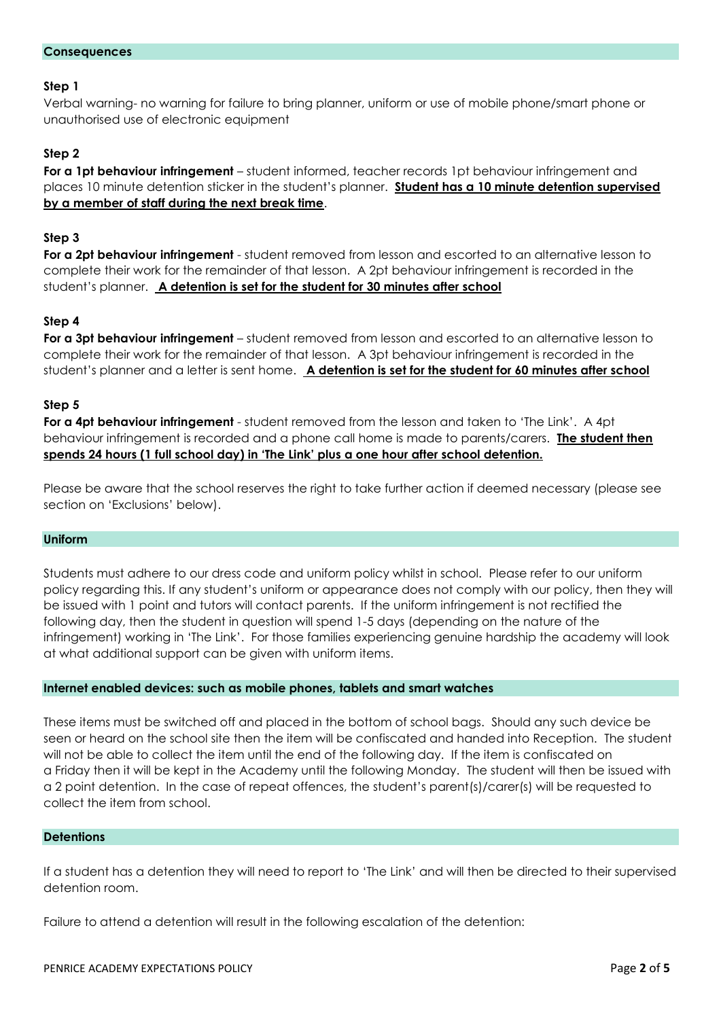# **Step 1**

Verbal warning- no warning for failure to bring planner, uniform or use of mobile phone/smart phone or unauthorised use of electronic equipment

# **Step 2**

**For a 1pt behaviour infringement** – student informed, teacher records 1pt behaviour infringement and places 10 minute detention sticker in the student's planner. **Student has a 10 minute detention supervised by a member of staff during the next break time**.

# **Step 3**

**For a 2pt behaviour infringement** - student removed from lesson and escorted to an alternative lesson to complete their work for the remainder of that lesson. A 2pt behaviour infringement is recorded in the student's planner. **A detention is set for the student for 30 minutes after school**

# **Step 4**

**For a 3pt behaviour infringement** – student removed from lesson and escorted to an alternative lesson to complete their work for the remainder of that lesson. A 3pt behaviour infringement is recorded in the student's planner and a letter is sent home. **A detention is set for the student for 60 minutes after school**

# **Step 5**

**For a 4pt behaviour infringement** - student removed from the lesson and taken to 'The Link'. A 4pt behaviour infringement is recorded and a phone call home is made to parents/carers. **The student then spends 24 hours (1 full school day) in 'The Link' plus a one hour after school detention.**

Please be aware that the school reserves the right to take further action if deemed necessary (please see section on 'Exclusions' below).

## **Uniform**

Students must adhere to our dress code and uniform policy whilst in school. Please refer to our uniform policy regarding this. If any student's uniform or appearance does not comply with our policy, then they will be issued with 1 point and tutors will contact parents. If the uniform infringement is not rectified the following day, then the student in question will spend 1-5 days (depending on the nature of the infringement) working in 'The Link'. For those families experiencing genuine hardship the academy will look at what additional support can be given with uniform items.

## **Internet enabled devices: such as mobile phones, tablets and smart watches**

These items must be switched off and placed in the bottom of school bags. Should any such device be seen or heard on the school site then the item will be confiscated and handed into Reception. The student will not be able to collect the item until the end of the following day. If the item is confiscated on a Friday then it will be kept in the Academy until the following Monday. The student will then be issued with a 2 point detention. In the case of repeat offences, the student's parent(s)/carer(s) will be requested to collect the item from school.

## **Detentions**

If a student has a detention they will need to report to 'The Link' and will then be directed to their supervised detention room.

Failure to attend a detention will result in the following escalation of the detention: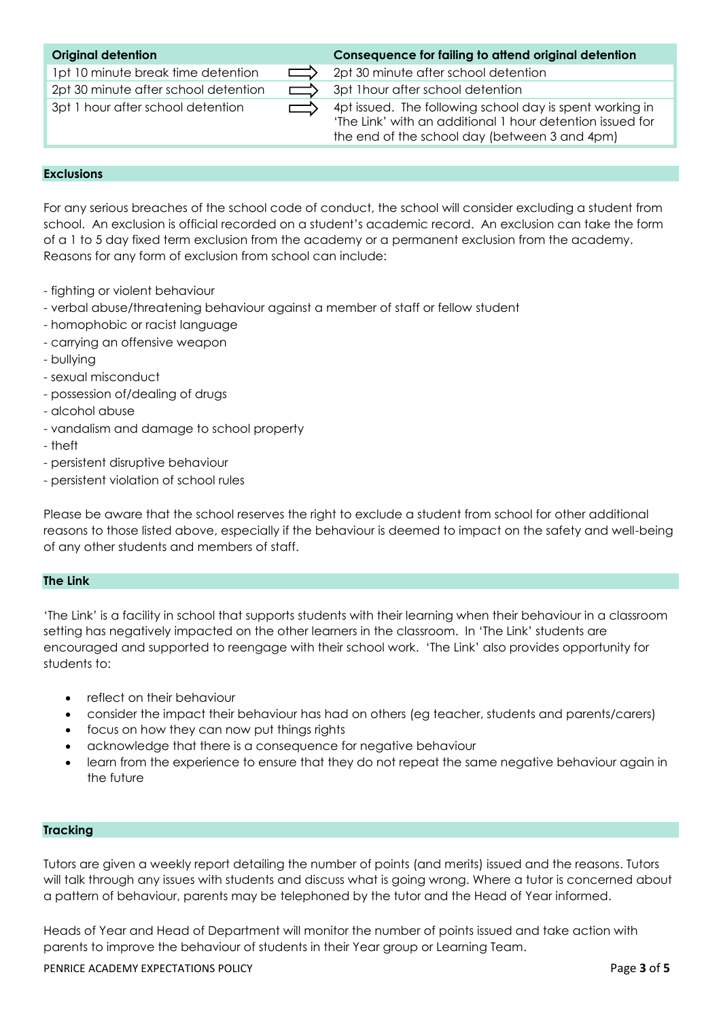## **Original detention Consequence for failing to attend original detention**

1pt 10 minute break time detention  $\Box$  2pt 30 minute after school detention 2pt 30 minute after school detention  $\Box$  3pt 1 hour after school detention

 $3pt 1$  hour after school detention  $\longrightarrow$  4pt issued. The following school day is spent working in 'The Link' with an additional 1 hour detention issued for the end of the school day (between 3 and 4pm)

#### **Exclusions**

For any serious breaches of the school code of conduct, the school will consider excluding a student from school. An exclusion is official recorded on a student's academic record. An exclusion can take the form of a 1 to 5 day fixed term exclusion from the academy or a permanent exclusion from the academy. Reasons for any form of exclusion from school can include:

- fighting or violent behaviour
- verbal abuse/threatening behaviour against a member of staff or fellow student
- homophobic or racist language
- carrying an offensive weapon
- bullying
- sexual misconduct
- possession of/dealing of drugs
- alcohol abuse
- vandalism and damage to school property
- theft
- persistent disruptive behaviour
- persistent violation of school rules

Please be aware that the school reserves the right to exclude a student from school for other additional reasons to those listed above, especially if the behaviour is deemed to impact on the safety and well-being of any other students and members of staff.

#### **The Link**

'The Link' is a facility in school that supports students with their learning when their behaviour in a classroom setting has negatively impacted on the other learners in the classroom. In 'The Link' students are encouraged and supported to reengage with their school work. 'The Link' also provides opportunity for students to:

- reflect on their behaviour
- consider the impact their behaviour has had on others (eg teacher, students and parents/carers)
- focus on how they can now put things rights
- acknowledge that there is a consequence for negative behaviour
- learn from the experience to ensure that they do not repeat the same negative behaviour again in the future

## **Tracking**

Tutors are given a weekly report detailing the number of points (and merits) issued and the reasons. Tutors will talk through any issues with students and discuss what is going wrong. Where a tutor is concerned about a pattern of behaviour, parents may be telephoned by the tutor and the Head of Year informed.

Heads of Year and Head of Department will monitor the number of points issued and take action with parents to improve the behaviour of students in their Year group or Learning Team.

PENRICE ACADEMY EXPECTATIONS POLICY Page **3** of **5**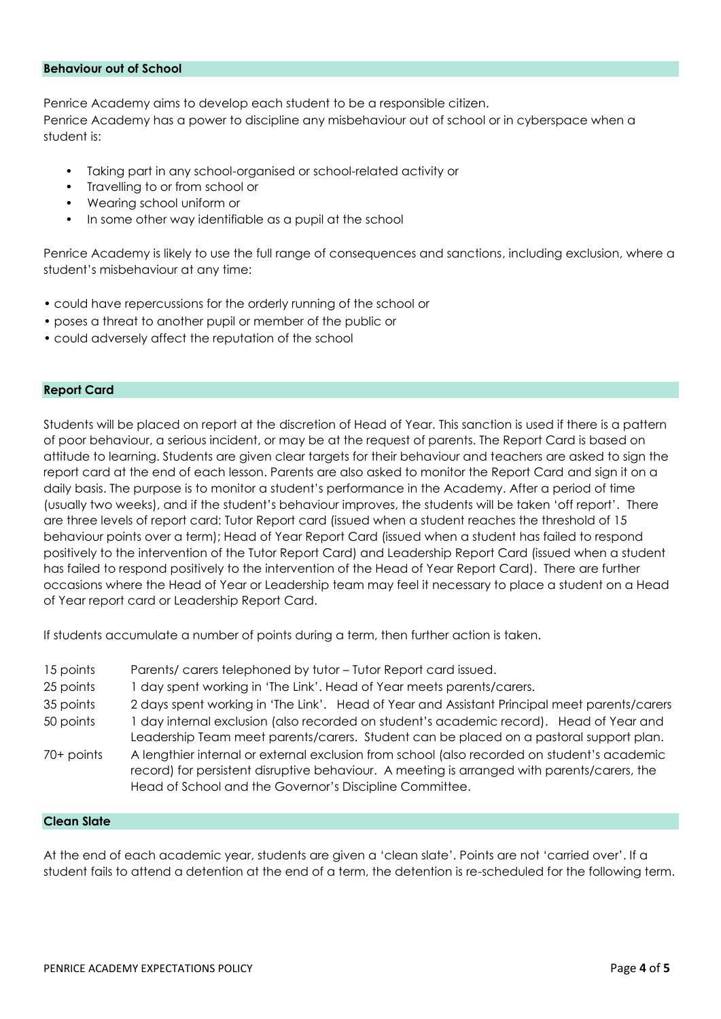#### **Behaviour out of School**

Penrice Academy aims to develop each student to be a responsible citizen. Penrice Academy has a power to discipline any misbehaviour out of school or in cyberspace when a student is:

- Taking part in any school-organised or school-related activity or
- Travelling to or from school or
- Wearing school uniform or
- In some other way identifiable as a pupil at the school

Penrice Academy is likely to use the full range of consequences and sanctions, including exclusion, where a student's misbehaviour at any time:

- could have repercussions for the orderly running of the school or
- poses a threat to another pupil or member of the public or
- could adversely affect the reputation of the school

#### **Report Card**

Students will be placed on report at the discretion of Head of Year. This sanction is used if there is a pattern of poor behaviour, a serious incident, or may be at the request of parents. The Report Card is based on attitude to learning. Students are given clear targets for their behaviour and teachers are asked to sign the report card at the end of each lesson. Parents are also asked to monitor the Report Card and sign it on a daily basis. The purpose is to monitor a student's performance in the Academy. After a period of time (usually two weeks), and if the student's behaviour improves, the students will be taken 'off report'. There are three levels of report card: Tutor Report card (issued when a student reaches the threshold of 15 behaviour points over a term); Head of Year Report Card (issued when a student has failed to respond positively to the intervention of the Tutor Report Card) and Leadership Report Card (issued when a student has failed to respond positively to the intervention of the Head of Year Report Card). There are further occasions where the Head of Year or Leadership team may feel it necessary to place a student on a Head of Year report card or Leadership Report Card.

If students accumulate a number of points during a term, then further action is taken.

- 15 points Parents/ carers telephoned by tutor Tutor Report card issued.
- 25 points 1 day spent working in 'The Link'. Head of Year meets parents/carers.
- 35 points 2 days spent working in 'The Link'. Head of Year and Assistant Principal meet parents/carers
- 50 points 1 day internal exclusion (also recorded on student's academic record). Head of Year and Leadership Team meet parents/carers. Student can be placed on a pastoral support plan.
- 70+ points A lengthier internal or external exclusion from school (also recorded on student's academic record) for persistent disruptive behaviour. A meeting is arranged with parents/carers, the Head of School and the Governor's Discipline Committee.

#### **Clean Slate**

At the end of each academic year, students are given a 'clean slate'. Points are not 'carried over'. If a student fails to attend a detention at the end of a term, the detention is re-scheduled for the following term.